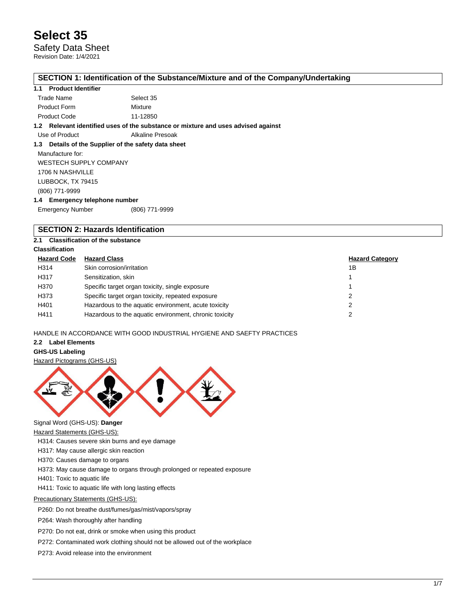Safety Data Sheet Revision Date: 1/4/2021

### **SECTION 1: Identification of the Substance/Mixture and of the Company/Undertaking**

#### **1.1 Product Identifier**

| Trade Name          | Select 35 |
|---------------------|-----------|
| <b>Product Form</b> | Mixture   |
| <b>Product Code</b> | 11-12850  |

**1.2 Relevant identified uses of the substance or mixture and uses advised against**

Use of Product **Alkaline Presoak** 

### **1.3 Details of the Supplier of the safety data sheet**

Manufacture for: WESTECH SUPPLY COMPANY 1706 N NASHVILLE LUBBOCK, TX 79415 (806) 771-9999 **1.4 Emergency telephone number**

| <br>Elliergency telephone number |                |
|----------------------------------|----------------|
| <b>Emergency Number</b>          | (806) 771-9999 |

## **SECTION 2: Hazards Identification**

#### **2.1 Classification of the substance**

## **Classification**

| <b>Hazard Code</b> | <b>Hazard Class</b>                                    | <b>Hazard Category</b> |
|--------------------|--------------------------------------------------------|------------------------|
| H314               | Skin corrosion/irritation                              | 1B                     |
| H317               | Sensitization, skin                                    |                        |
| H370               | Specific target organ toxicity, single exposure        |                        |
| H373               | Specific target organ toxicity, repeated exposure      | 2                      |
| H401               | Hazardous to the aquatic environment, acute toxicity   |                        |
| H411               | Hazardous to the aquatic environment, chronic toxicity |                        |

## HANDLE IN ACCORDANCE WITH GOOD INDUSTRIAL HYGIENE AND SAEFTY PRACTICES

## **2.2 Label Elements**

## **GHS-US Labeling**

Hazard Pictograms (GHS-US)



## Signal Word (GHS-US): **Danger**

**Hazard Statements (GHS-US):** 

H314: Causes severe skin burns and eye damage

- H317: May cause allergic skin reaction
- H370: Causes damage to organs
- H373: May cause damage to organs through prolonged or repeated exposure
- H401: Toxic to aquatic life
- H411: Toxic to aquatic life with long lasting effects

## Precautionary Statements (GHS-US):

P260: Do not breathe dust/fumes/gas/mist/vapors/spray

P264: Wash thoroughly after handling

P270: Do not eat, drink or smoke when using this product

P272: Contaminated work clothing should not be allowed out of the workplace

P273: Avoid release into the environment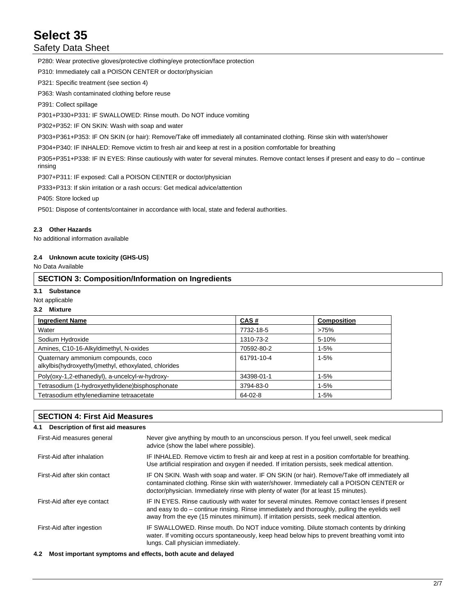## Safety Data Sheet

P280: Wear protective gloves/protective clothing/eye protection/face protection

P310: Immediately call a POISON CENTER or doctor/physician

P321: Specific treatment (see section 4)

P363: Wash contaminated clothing before reuse

P391: Collect spillage

P301+P330+P331: IF SWALLOWED: Rinse mouth. Do NOT induce vomiting

P302+P352: IF ON SKIN: Wash with soap and water

P303+P361+P353: IF ON SKIN (or hair): Remove/Take off immediately all contaminated clothing. Rinse skin with water/shower

P304+P340: IF INHALED: Remove victim to fresh air and keep at rest in a position comfortable for breathing

P305+P351+P338: IF IN EYES: Rinse cautiously with water for several minutes. Remove contact lenses if present and easy to do – continue rinsing

P307+P311: IF exposed: Call a POISON CENTER or doctor/physician

P333+P313: If skin irritation or a rash occurs: Get medical advice/attention

P405: Store locked up

P501: Dispose of contents/container in accordance with local, state and federal authorities.

### **2.3 Other Hazards**

No additional information available

## **2.4 Unknown acute toxicity (GHS-US)**

No Data Available

## **SECTION 3: Composition/Information on Ingredients**

**3.1 Substance**

## Not applicable

#### **3.2 Mixture**

| <b>Ingredient Name</b>                                                                      | CAS#       | <b>Composition</b> |
|---------------------------------------------------------------------------------------------|------------|--------------------|
| Water                                                                                       | 7732-18-5  | >75%               |
| Sodium Hydroxide                                                                            | 1310-73-2  | 5-10%              |
| Amines, C10-16-Alkyldimethyl, N-oxides                                                      | 70592-80-2 | $1 - 5%$           |
| Quaternary ammonium compounds, coco<br>alkylbis(hydroxyethyl)methyl, ethoxylated, chlorides | 61791-10-4 | $1 - 5%$           |
| Poly(oxy-1,2-ethanediyl), a-uncelcyl-w-hydroxy-                                             | 34398-01-1 | $1 - 5%$           |
| Tetrasodium (1-hydroxyethylidene) bisphosphonate                                            | 3794-83-0  | $1 - 5%$           |
| Tetrasodium ethylenediamine tetraacetate                                                    | $64-02-8$  | $1 - 5%$           |

## **SECTION 4: First Aid Measures**

| Description of first aid measures<br>4.1 |                                                                                                                                                                                                                                                                                           |
|------------------------------------------|-------------------------------------------------------------------------------------------------------------------------------------------------------------------------------------------------------------------------------------------------------------------------------------------|
| First-Aid measures general               | Never give anything by mouth to an unconscious person. If you feel unwell, seek medical<br>advice (show the label where possible).                                                                                                                                                        |
| First-Aid after inhalation               | IF INHALED. Remove victim to fresh air and keep at rest in a position comfortable for breathing.<br>Use artificial respiration and oxygen if needed. If irritation persists, seek medical attention.                                                                                      |
| First-Aid after skin contact             | IF ON SKIN. Wash with soap and water. IF ON SKIN (or hair). Remove/Take off immediately all<br>contaminated clothing. Rinse skin with water/shower. Immediately call a POISON CENTER or<br>doctor/physician. Immediately rinse with plenty of water (for at least 15 minutes).            |
| First-Aid after eye contact              | IF IN EYES. Rinse cautiously with water for several minutes. Remove contact lenses if present<br>and easy to do – continue rinsing. Rinse immediately and thoroughly, pulling the eyelids well<br>away from the eye (15 minutes minimum). If irritation persists, seek medical attention. |
| First-Aid after ingestion                | IF SWALLOWED. Rinse mouth. Do NOT induce vomiting. Dilute stomach contents by drinking<br>water. If vomiting occurs spontaneously, keep head below hips to prevent breathing vomit into<br>lungs. Call physician immediately.                                                             |

#### **4.2 Most important symptoms and effects, both acute and delayed**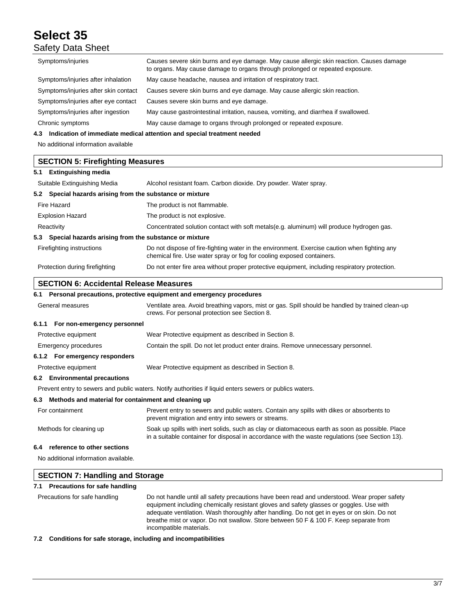## Safety Data Sheet

| Symptoms/injuries                    | Causes severe skin burns and eye damage. May cause allergic skin reaction. Causes damage<br>to organs. May cause damage to organs through prolonged or repeated exposure. |
|--------------------------------------|---------------------------------------------------------------------------------------------------------------------------------------------------------------------------|
| Symptoms/injuries after inhalation   | May cause headache, nausea and irritation of respiratory tract.                                                                                                           |
| Symptoms/injuries after skin contact | Causes severe skin burns and eye damage. May cause allergic skin reaction.                                                                                                |
| Symptoms/injuries after eye contact  | Causes severe skin burns and eye damage.                                                                                                                                  |
| Symptoms/injuries after ingestion    | May cause gastrointestinal irritation, nausea, vomiting, and diarrhea if swallowed.                                                                                       |
| Chronic symptoms                     | May cause damage to organs through prolonged or repeated exposure.                                                                                                        |
| 4.3                                  | Indication of immediate medical attention and special treatment needed                                                                                                    |
| No additional information available  |                                                                                                                                                                           |
|                                      |                                                                                                                                                                           |

| <b>SECTION 5: Firefighting Measures</b>       |                                                                                                                                                                       |  |  |
|-----------------------------------------------|-----------------------------------------------------------------------------------------------------------------------------------------------------------------------|--|--|
| <b>Extinguishing media</b><br>5.1             |                                                                                                                                                                       |  |  |
| Suitable Extinguishing Media                  | Alcohol resistant foam. Carbon dioxide. Dry powder. Water spray.                                                                                                      |  |  |
| 5.2                                           | Special hazards arising from the substance or mixture                                                                                                                 |  |  |
| Fire Hazard                                   | The product is not flammable.                                                                                                                                         |  |  |
| <b>Explosion Hazard</b>                       | The product is not explosive.                                                                                                                                         |  |  |
| Reactivity                                    | Concentrated solution contact with soft metals(e.g. aluminum) will produce hydrogen gas.                                                                              |  |  |
| 5.3                                           | Special hazards arising from the substance or mixture                                                                                                                 |  |  |
| Firefighting instructions                     | Do not dispose of fire-fighting water in the environment. Exercise caution when fighting any<br>chemical fire. Use water spray or fog for cooling exposed containers. |  |  |
| Protection during firefighting                | Do not enter fire area without proper protective equipment, including respiratory protection.                                                                         |  |  |
| <b>SECTION 6: Accidental Release Measures</b> |                                                                                                                                                                       |  |  |

## **SECTION 6: Accidental Release Measures**

## **6.1 Personal precautions, protective equipment and emergency procedures**

| General measures | Ventilate area. Avoid breathing vapors, mist or gas. Spill should be handled by trained clean-up |
|------------------|--------------------------------------------------------------------------------------------------|
|                  | crews. For personal protection see Section 8.                                                    |
| _____            |                                                                                                  |

## **6.1.1 For non-emergency personnel**

Protective equipment Wear Protective equipment as described in Section 8.

| Emergency procedures | Contain the spill. Do not let product enter drains. Remove unnecessary personnel. |  |
|----------------------|-----------------------------------------------------------------------------------|--|

## **6.1.2 For emergency responders** Protective equipment Wear Protective equipment as described in Section 8.

**6.2 Environmental precautions**

Prevent entry to sewers and public waters. Notify authorities if liquid enters sewers or publics waters.

## **6.3 Methods and material for containment and cleaning up**

| For containment         | Prevent entry to sewers and public waters. Contain any spills with dikes or absorbents to<br>prevent migration and entry into sewers or streams.                                                   |
|-------------------------|----------------------------------------------------------------------------------------------------------------------------------------------------------------------------------------------------|
| Methods for cleaning up | Soak up spills with inert solids, such as clay or diatomaceous earth as soon as possible. Place<br>in a suitable container for disposal in accordance with the waste regulations (see Section 13). |

## **6.4 reference to other sections**

No additional information available.

| <b>SECTION 7: Handling and Storage</b> |                                                                                                                                                                                                                                                                                                                                                                                                            |  |
|----------------------------------------|------------------------------------------------------------------------------------------------------------------------------------------------------------------------------------------------------------------------------------------------------------------------------------------------------------------------------------------------------------------------------------------------------------|--|
| 7.1 Precautions for safe handling      |                                                                                                                                                                                                                                                                                                                                                                                                            |  |
| Precautions for safe handling          | Do not handle until all safety precautions have been read and understood. Wear proper safety<br>equipment including chemically resistant gloves and safety glasses or goggles. Use with<br>adequate ventilation. Wash thoroughly after handling. Do not get in eyes or on skin. Do not<br>breathe mist or vapor. Do not swallow. Store between 50 F & 100 F. Keep separate from<br>incompatible materials. |  |

**7.2 Conditions for safe storage, including and incompatibilities**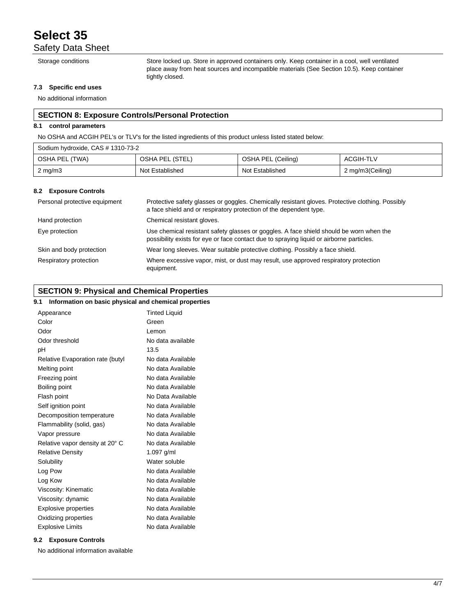Safety Data Sheet

Storage conditions Store locked up. Store in approved containers only. Keep container in a cool, well ventilated place away from heat sources and incompatible materials (See Section 10.5). Keep container tightly closed.

## **7.3 Specific end uses**

No additional information

## **SECTION 8: Exposure Controls/Personal Protection**

#### **8.1 control parameters**

No OSHA and ACGIH PEL's or TLV's for the listed ingredients of this product unless listed stated below:

| Sodium hydroxide, CAS # 1310-73-2 |                 |                    |                  |  |
|-----------------------------------|-----------------|--------------------|------------------|--|
| OSHA PEL (TWA)                    | OSHA PEL (STEL) | OSHA PEL (Ceiling) | <b>ACGIH-TLV</b> |  |
| $2 \text{ mg/m}$                  | Not Established | Not Established    | 2 mg/m3(Ceiling) |  |

#### **8.2 Exposure Controls**

| Personal protective equipment | Protective safety glasses or goggles. Chemically resistant gloves. Protective clothing. Possibly<br>a face shield and or respiratory protection of the dependent type.              |
|-------------------------------|-------------------------------------------------------------------------------------------------------------------------------------------------------------------------------------|
| Hand protection               | Chemical resistant gloves.                                                                                                                                                          |
| Eye protection                | Use chemical resistant safety glasses or goggles. A face shield should be worn when the<br>possibility exists for eye or face contact due to spraying liquid or airborne particles. |
| Skin and body protection      | Wear long sleeves. Wear suitable protective clothing. Possibly a face shield.                                                                                                       |
| Respiratory protection        | Where excessive vapor, mist, or dust may result, use approved respiratory protection<br>equipment.                                                                                  |

## **SECTION 9: Physical and Chemical Properties**

#### **9.1 Information on basic physical and chemical properties**

| 9.1<br>Information on basic physical and chemical properties |                      |
|--------------------------------------------------------------|----------------------|
| Appearance                                                   | <b>Tinted Liquid</b> |
| Color                                                        | Green                |
| Odor                                                         | Lemon                |
| Odor threshold                                               | No data available    |
| рH                                                           | 13.5                 |
| Relative Evaporation rate (butyl                             | No data Available    |
| Melting point                                                | No data Available    |
| Freezing point                                               | No data Available    |
| Boiling point                                                | No data Available    |
| Flash point                                                  | No Data Available    |
| Self ignition point                                          | No data Available    |
| Decomposition temperature                                    | No data Available    |
| Flammability (solid, gas)                                    | No data Available    |
| Vapor pressure                                               | No data Available    |
| Relative vapor density at 20° C                              | No data Available    |
| <b>Relative Density</b>                                      | 1.097 g/ml           |
| Solubility                                                   | Water soluble        |
| Log Pow                                                      | No data Available    |
| Log Kow                                                      | No data Available    |
| Viscosity: Kinematic                                         | No data Available    |
| Viscosity: dynamic                                           | No data Available    |
| <b>Explosive properties</b>                                  | No data Available    |
| Oxidizing properties                                         | No data Available    |
| <b>Explosive Limits</b>                                      | No data Available    |
|                                                              |                      |

## **9.2 Exposure Controls**

No additional information available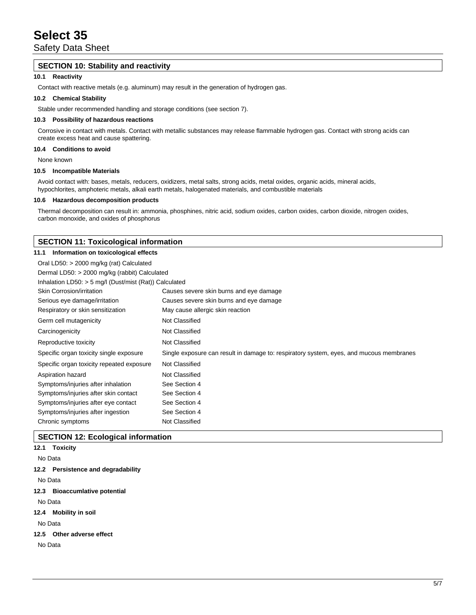Safety Data Sheet

## **SECTION 10: Stability and reactivity**

## **10.1 Reactivity**

Contact with reactive metals (e.g. aluminum) may result in the generation of hydrogen gas.

## **10.2 Chemical Stability**

Stable under recommended handling and storage conditions (see section 7).

### **10.3 Possibility of hazardous reactions**

Corrosive in contact with metals. Contact with metallic substances may release flammable hydrogen gas. Contact with strong acids can create excess heat and cause spattering.

#### **10.4 Conditions to avoid**

None known

#### **10.5 Incompatible Materials**

Avoid contact with: bases, metals, reducers, oxidizers, metal salts, strong acids, metal oxides, organic acids, mineral acids, hypochlorites, amphoteric metals, alkali earth metals, halogenated materials, and combustible materials

#### **10.6 Hazardous decomposition products**

Thermal decomposition can result in: ammonia, phosphines, nitric acid, sodium oxides, carbon oxides, carbon dioxide, nitrogen oxides, carbon monoxide, and oxides of phosphorus

## **SECTION 11: Toxicological information**

## **11.1 Information on toxicological effects**

| Oral LD50: $>$ 2000 mg/kg (rat) Calculated             |                                                                                         |
|--------------------------------------------------------|-----------------------------------------------------------------------------------------|
| Dermal LD50: > 2000 mg/kg (rabbit) Calculated          |                                                                                         |
| Inhalation LD50: > 5 mg/l (Dust/mist (Rat)) Calculated |                                                                                         |
| Skin Corrosion/irritation                              | Causes severe skin burns and eye damage                                                 |
| Serious eye damage/irritation                          | Causes severe skin burns and eye damage                                                 |
| Respiratory or skin sensitization                      | May cause allergic skin reaction                                                        |
| Germ cell mutagenicity                                 | Not Classified                                                                          |
| Carcinogenicity                                        | Not Classified                                                                          |
| Reproductive toxicity                                  | Not Classified                                                                          |
| Specific organ toxicity single exposure                | Single exposure can result in damage to: respiratory system, eyes, and mucous membranes |
| Specific organ toxicity repeated exposure              | Not Classified                                                                          |
| Aspiration hazard                                      | Not Classified                                                                          |
| Symptoms/injuries after inhalation                     | See Section 4                                                                           |
| Symptoms/injuries after skin contact                   | See Section 4                                                                           |
| Symptoms/injuries after eye contact                    | See Section 4                                                                           |
| Symptoms/injuries after ingestion                      | See Section 4                                                                           |
| Chronic symptoms                                       | Not Classified                                                                          |

### **SECTION 12: Ecological information**

## **12.1 Toxicity**

No Data

**12.2 Persistence and degradability**

No Data

**12.3 Bioaccumlative potential**

No Data

**12.4 Mobility in soil**

No Data

**12.5 Other adverse effect**

No Data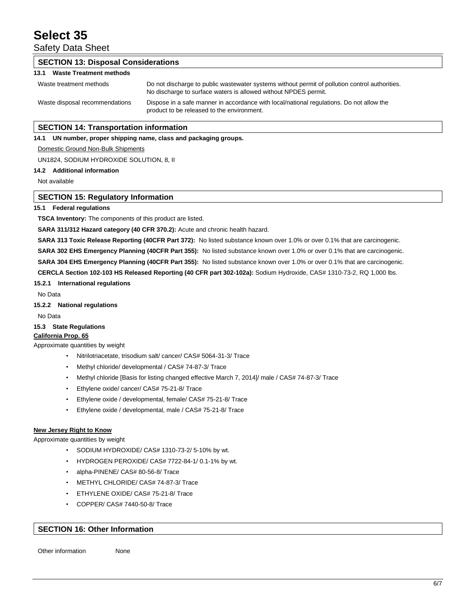Safety Data Sheet

## **SECTION 13: Disposal Considerations 13.1 Waste Treatment methods** Waste treatment methods Do not discharge to public wastewater systems without permit of pollution control authorities. No discharge to surface waters is allowed without NPDES permit. Waste disposal recommendations Dispose in a safe manner in accordance with local/national regulations. Do not allow the product to be released to the environment. **SECTION 14: Transportation information**

## **14.1 UN number, proper shipping name, class and packaging groups.**

Domestic Ground Non-Bulk Shipments

UN1824, SODIUM HYDROXIDE SOLUTION, 8, II

## **14.2 Additional information**

Not available

## **SECTION 15: Regulatory Information**

## **15.1 Federal regulations**

**TSCA Inventory:** The components of this product are listed.

**SARA 311/312 Hazard category (40 CFR 370.2):** Acute and chronic health hazard.

**SARA 313 Toxic Release Reporting (40CFR Part 372):** No listed substance known over 1.0% or over 0.1% that are carcinogenic.

**SARA 302 EHS Emergency Planning (40CFR Part 355):** No listed substance known over 1.0% or over 0.1% that are carcinogenic.

**SARA 304 EHS Emergency Planning (40CFR Part 355):** No listed substance known over 1.0% or over 0.1% that are carcinogenic.

**CERCLA Section 102-103 HS Released Reporting (40 CFR part 302-102a):** Sodium Hydroxide, CAS# 1310-73-2, RQ 1,000 lbs.

## **15.2.1 International regulations**

No Data

#### **15.2.2 National regulations**

No Data

### **15.3 State Regulations**

## **California Prop. 65**

Approximate quantities by weight

- Nitrilotriacetate, trisodium salt/ cancer/ CAS# 5064-31-3/ Trace
- Methyl chloride/ developmental / CAS# 74-87-3/ Trace
- Methyl chloride [Basis for listing changed effective March 7, 2014]/ male / CAS# 74-87-3/ Trace
- Ethylene oxide/ cancer/ CAS# 75-21-8/ Trace
- Ethylene oxide / developmental, female/ CAS# 75-21-8/ Trace
- Ethylene oxide / developmental, male / CAS# 75-21-8/ Trace

#### **New Jersey Right to Know**

Approximate quantities by weight

- SODIUM HYDROXIDE/ CAS# 1310-73-2/ 5-10% by wt.
- HYDROGEN PEROXIDE/ CAS# 7722-84-1/ 0.1-1% by wt.
- alpha-PINENE/ CAS# 80-56-8/ Trace
- METHYL CHLORIDE/ CAS# 74-87-3/ Trace
- ETHYLENE OXIDE/ CAS# 75-21-8/ Trace
- COPPER/ CAS# 7440-50-8/ Trace

## **SECTION 16: Other Information**

Other information None